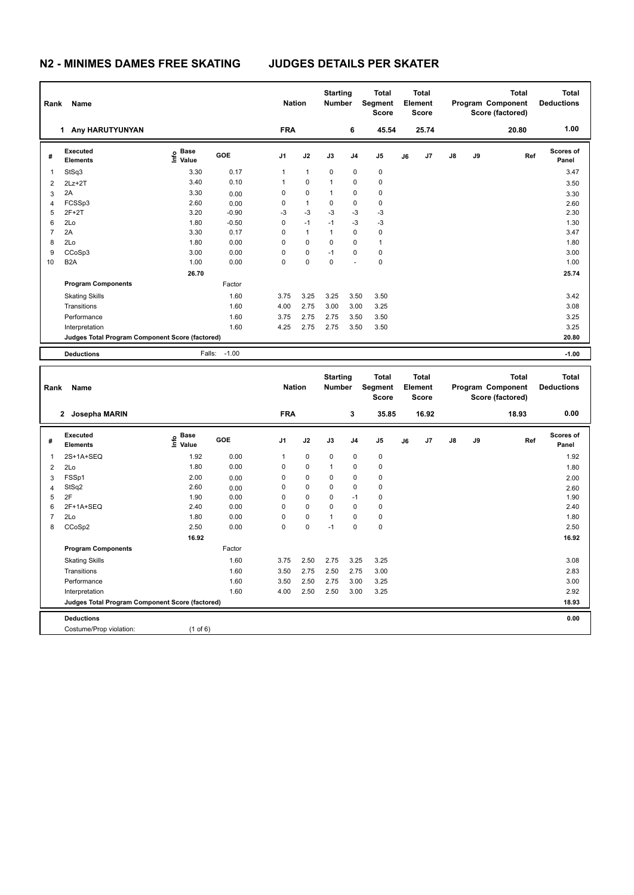| Name<br>Rank   |                                                 |                                  |         |            | <b>Nation</b> |              | <b>Starting</b><br><b>Number</b> | <b>Total</b><br>Segment<br><b>Score</b> | <b>Total</b><br>Element<br><b>Score</b> |                | Program Component |    | <b>Total</b><br>Score (factored) | <b>Total</b><br><b>Deductions</b> |
|----------------|-------------------------------------------------|----------------------------------|---------|------------|---------------|--------------|----------------------------------|-----------------------------------------|-----------------------------------------|----------------|-------------------|----|----------------------------------|-----------------------------------|
|                | 1 Any HARUTYUNYAN                               |                                  |         | <b>FRA</b> |               |              | 6                                | 45.54                                   |                                         | 25.74          |                   |    | 20.80                            | 1.00                              |
| #              | Executed<br><b>Elements</b>                     | <b>Base</b><br>e Base<br>⊆ Value | GOE     | J1         | J2            | J3           | J <sub>4</sub>                   | J <sub>5</sub>                          | J6                                      | J <sub>7</sub> | $\mathsf{J}8$     | J9 | Ref                              | <b>Scores of</b><br>Panel         |
| 1              | StSq3                                           | 3.30                             | 0.17    | 1          | $\mathbf{1}$  | 0            | 0                                | $\mathbf 0$                             |                                         |                |                   |    |                                  | 3.47                              |
| 2              | $2Lz + 2T$                                      | 3.40                             | 0.10    | 1          | 0             | $\mathbf{1}$ | 0                                | $\pmb{0}$                               |                                         |                |                   |    |                                  | 3.50                              |
| 3              | 2A                                              | 3.30                             | 0.00    | 0          | $\mathbf 0$   | $\mathbf{1}$ | 0                                | $\pmb{0}$                               |                                         |                |                   |    |                                  | 3.30                              |
| 4              | FCSSp3                                          | 2.60                             | 0.00    | 0          | $\mathbf{1}$  | 0            | 0                                | 0                                       |                                         |                |                   |    |                                  | 2.60                              |
| 5              | $2F+2T$                                         | 3.20                             | $-0.90$ | $-3$       | $-3$          | $-3$         | $-3$                             | $-3$                                    |                                         |                |                   |    |                                  | 2.30                              |
| 6              | 2Lo                                             | 1.80                             | $-0.50$ | 0          | $-1$          | $-1$         | $-3$                             | $-3$                                    |                                         |                |                   |    |                                  | 1.30                              |
| $\overline{7}$ | 2A                                              | 3.30                             | 0.17    | 0          | $\mathbf{1}$  | $\mathbf{1}$ | $\mathbf 0$                      | $\mathbf 0$                             |                                         |                |                   |    |                                  | 3.47                              |
| 8              | 2Lo                                             | 1.80                             | 0.00    | 0          | 0             | 0            | 0                                | $\mathbf{1}$                            |                                         |                |                   |    |                                  | 1.80                              |
| 9              | CCoSp3                                          | 3.00                             | 0.00    | 0          | $\pmb{0}$     | $-1$         | 0                                | 0                                       |                                         |                |                   |    |                                  | 3.00                              |
| 10             | B <sub>2</sub> A                                | 1.00                             | 0.00    | $\Omega$   | 0             | 0            |                                  | $\mathbf 0$                             |                                         |                |                   |    |                                  | 1.00                              |
|                |                                                 | 26.70                            |         |            |               |              |                                  |                                         |                                         |                |                   |    |                                  | 25.74                             |
|                | <b>Program Components</b>                       |                                  | Factor  |            |               |              |                                  |                                         |                                         |                |                   |    |                                  |                                   |
|                | <b>Skating Skills</b>                           |                                  | 1.60    | 3.75       | 3.25          | 3.25         | 3.50                             | 3.50                                    |                                         |                |                   |    |                                  | 3.42                              |
|                | Transitions                                     |                                  | 1.60    | 4.00       | 2.75          | 3.00         | 3.00                             | 3.25                                    |                                         |                |                   |    |                                  | 3.08                              |
|                | Performance                                     |                                  | 1.60    | 3.75       | 2.75          | 2.75         | 3.50                             | 3.50                                    |                                         |                |                   |    |                                  | 3.25                              |
|                | Interpretation                                  |                                  | 1.60    | 4.25       | 2.75          | 2.75         | 3.50                             | 3.50                                    |                                         |                |                   |    |                                  | 3.25                              |
|                | Judges Total Program Component Score (factored) |                                  |         |            |               |              |                                  |                                         |                                         |                |                   |    |                                  | 20.80                             |
|                | <b>Deductions</b>                               | Falls:                           | $-1.00$ |            |               |              |                                  |                                         |                                         |                |                   |    |                                  | $-1.00$                           |

| Name<br>Rank                                    |                               |                                  |        |                | <b>Nation</b> |             | <b>Starting</b><br><b>Number</b> | <b>Total</b><br>Segment<br><b>Score</b> | Total<br>Element<br><b>Score</b> |       |               |    | <b>Total</b><br>Program Component<br>Score (factored) | Total<br><b>Deductions</b> |
|-------------------------------------------------|-------------------------------|----------------------------------|--------|----------------|---------------|-------------|----------------------------------|-----------------------------------------|----------------------------------|-------|---------------|----|-------------------------------------------------------|----------------------------|
|                                                 | Josepha MARIN<br>$\mathbf{2}$ |                                  |        | <b>FRA</b>     |               |             | 3                                | 35.85                                   |                                  | 16.92 |               |    | 18.93                                                 | 0.00                       |
| #                                               | Executed<br><b>Elements</b>   | <b>Base</b><br>o Base<br>⊆ Value | GOE    | J <sub>1</sub> | J2            | J3          | J <sub>4</sub>                   | J <sub>5</sub>                          | J6                               | J7    | $\mathsf{J}8$ | J9 | Ref                                                   | <b>Scores of</b><br>Panel  |
| $\mathbf{1}$                                    | 2S+1A+SEQ                     | 1.92                             | 0.00   | 1              | $\mathbf 0$   | 0           | 0                                | 0                                       |                                  |       |               |    |                                                       | 1.92                       |
| $\overline{2}$                                  | 2Lo                           | 1.80                             | 0.00   | 0              | $\mathbf 0$   | 1           | 0                                | 0                                       |                                  |       |               |    |                                                       | 1.80                       |
| 3                                               | FSSp1                         | 2.00                             | 0.00   | 0              | $\mathbf 0$   | 0           | 0                                | $\pmb{0}$                               |                                  |       |               |    |                                                       | 2.00                       |
| 4                                               | StSq2                         | 2.60                             | 0.00   | 0              | 0             | 0           | 0                                | 0                                       |                                  |       |               |    |                                                       | 2.60                       |
| 5                                               | 2F                            | 1.90                             | 0.00   | 0              | $\mathbf 0$   | 0           | $-1$                             | 0                                       |                                  |       |               |    |                                                       | 1.90                       |
| 6                                               | 2F+1A+SEQ                     | 2.40                             | 0.00   | 0              | $\mathbf 0$   | $\mathbf 0$ | $\mathbf 0$                      | 0                                       |                                  |       |               |    |                                                       | 2.40                       |
| $\overline{7}$                                  | 2Lo                           | 1.80                             | 0.00   | 0              | $\mathbf 0$   | 1           | 0                                | 0                                       |                                  |       |               |    |                                                       | 1.80                       |
| 8                                               | CCoSp2                        | 2.50                             | 0.00   | 0              | $\mathbf 0$   | $-1$        | 0                                | 0                                       |                                  |       |               |    |                                                       | 2.50                       |
|                                                 |                               | 16.92                            |        |                |               |             |                                  |                                         |                                  |       |               |    |                                                       | 16.92                      |
|                                                 | <b>Program Components</b>     |                                  | Factor |                |               |             |                                  |                                         |                                  |       |               |    |                                                       |                            |
|                                                 | <b>Skating Skills</b>         |                                  | 1.60   | 3.75           | 2.50          | 2.75        | 3.25                             | 3.25                                    |                                  |       |               |    |                                                       | 3.08                       |
|                                                 | Transitions                   |                                  | 1.60   | 3.50           | 2.75          | 2.50        | 2.75                             | 3.00                                    |                                  |       |               |    |                                                       | 2.83                       |
|                                                 | Performance                   |                                  | 1.60   | 3.50           | 2.50          | 2.75        | 3.00                             | 3.25                                    |                                  |       |               |    |                                                       | 3.00                       |
|                                                 | Interpretation                |                                  | 1.60   | 4.00           | 2.50          | 2.50        | 3.00                             | 3.25                                    |                                  |       |               |    |                                                       | 2.92                       |
| Judges Total Program Component Score (factored) |                               |                                  |        |                |               |             |                                  |                                         |                                  |       |               |    | 18.93                                                 |                            |
|                                                 | <b>Deductions</b>             |                                  |        |                |               |             |                                  |                                         |                                  |       |               |    |                                                       | 0.00                       |
|                                                 | Costume/Prop violation:       | $(1$ of 6)                       |        |                |               |             |                                  |                                         |                                  |       |               |    |                                                       |                            |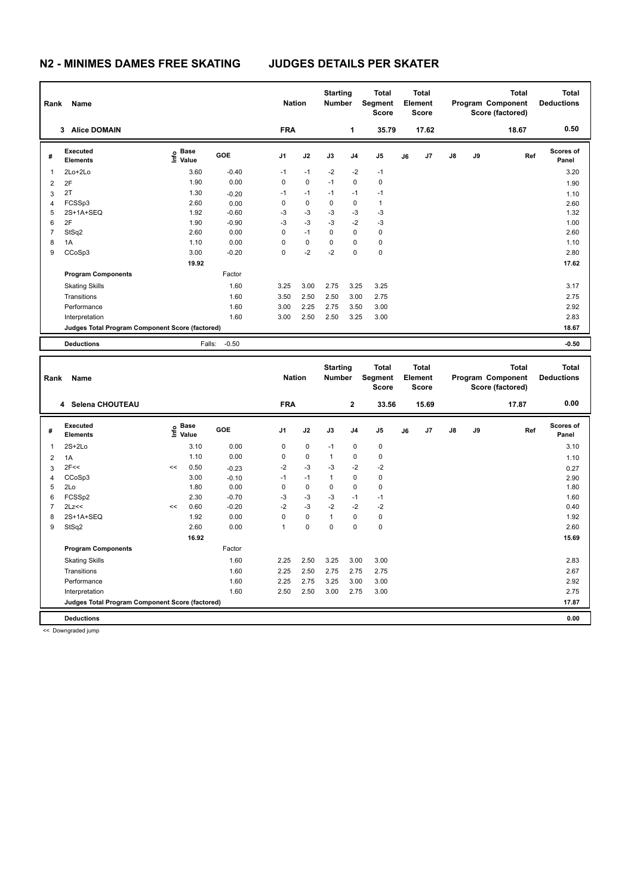| Rank | Name                                            |                                  |            | <b>Nation</b>  |               | <b>Starting</b><br><b>Number</b> |                | <b>Total</b><br><b>Segment</b><br><b>Score</b> |    | <b>Total</b><br>Element<br><b>Score</b> |    |    | <b>Total</b><br>Program Component<br>Score (factored) | <b>Total</b><br><b>Deductions</b> |
|------|-------------------------------------------------|----------------------------------|------------|----------------|---------------|----------------------------------|----------------|------------------------------------------------|----|-----------------------------------------|----|----|-------------------------------------------------------|-----------------------------------|
|      | 3 Alice DOMAIN                                  |                                  |            | <b>FRA</b>     |               |                                  | 1              | 35.79                                          |    | 17.62                                   |    |    | 18.67                                                 | 0.50                              |
| #    | Executed<br><b>Elements</b>                     | <b>Base</b><br>e Base<br>⊑ Value | <b>GOE</b> | J <sub>1</sub> | J2            | J3                               | J <sub>4</sub> | J <sub>5</sub>                                 | J6 | J7                                      | J8 | J9 | Ref                                                   | <b>Scores of</b><br>Panel         |
| 1    | $2Lo+2Lo$                                       | 3.60                             | $-0.40$    | $-1$           | $-1$          | $-2$                             | $-2$           | $-1$                                           |    |                                         |    |    |                                                       | 3.20                              |
| 2    | 2F                                              | 1.90                             | 0.00       | 0              | $\mathbf 0$   | $-1$                             | $\mathbf 0$    | $\pmb{0}$                                      |    |                                         |    |    |                                                       | 1.90                              |
| 3    | 2T                                              | 1.30                             | $-0.20$    | $-1$           | $-1$          | $-1$                             | $-1$           | $-1$                                           |    |                                         |    |    |                                                       | 1.10                              |
| 4    | FCSSp3                                          | 2.60                             | 0.00       | 0              | 0             | 0                                | 0              | $\mathbf{1}$                                   |    |                                         |    |    |                                                       | 2.60                              |
| 5    | 2S+1A+SEQ                                       | 1.92                             | $-0.60$    | -3             | $-3$          | $-3$                             | $-3$           | $-3$                                           |    |                                         |    |    |                                                       | 1.32                              |
| 6    | 2F                                              | 1.90                             | $-0.90$    | $-3$           | $-3$          | $-3$                             | $-2$           | $-3$                                           |    |                                         |    |    |                                                       | 1.00                              |
| 7    | StSq2                                           | 2.60                             | 0.00       | 0              | $-1$          | 0                                | 0              | 0                                              |    |                                         |    |    |                                                       | 2.60                              |
| 8    | 1A                                              | 1.10                             | 0.00       | $\Omega$       | $\pmb{0}$     | 0                                | $\Omega$       | 0                                              |    |                                         |    |    |                                                       | 1.10                              |
| 9    | CCoSp3                                          | 3.00                             | $-0.20$    | 0              | $-2$          | -2                               | 0              | $\pmb{0}$                                      |    |                                         |    |    |                                                       | 2.80                              |
|      |                                                 | 19.92                            |            |                |               |                                  |                |                                                |    |                                         |    |    |                                                       | 17.62                             |
|      | <b>Program Components</b>                       |                                  | Factor     |                |               |                                  |                |                                                |    |                                         |    |    |                                                       |                                   |
|      | <b>Skating Skills</b>                           |                                  | 1.60       | 3.25           | 3.00          | 2.75                             | 3.25           | 3.25                                           |    |                                         |    |    |                                                       | 3.17                              |
|      | Transitions                                     |                                  | 1.60       | 3.50           | 2.50          | 2.50                             | 3.00           | 2.75                                           |    |                                         |    |    |                                                       | 2.75                              |
|      | Performance                                     |                                  | 1.60       | 3.00           | 2.25          | 2.75                             | 3.50           | 3.00                                           |    |                                         |    |    |                                                       | 2.92                              |
|      | Interpretation                                  |                                  | 1.60       | 3.00           | 2.50          | 2.50                             | 3.25           | 3.00                                           |    |                                         |    |    |                                                       | 2.83                              |
|      | Judges Total Program Component Score (factored) |                                  |            |                |               |                                  |                |                                                |    |                                         |    |    |                                                       | 18.67                             |
|      | <b>Deductions</b>                               | Falls:                           | $-0.50$    |                |               |                                  |                |                                                |    |                                         |    |    |                                                       | $-0.50$                           |
|      |                                                 |                                  |            |                |               |                                  |                |                                                |    |                                         |    |    |                                                       |                                   |
|      | Rank<br>Name                                    |                                  |            |                | <b>Nation</b> | <b>Starting</b><br><b>Number</b> |                | <b>Total</b><br>Segment                        |    | <b>Total</b><br>Element                 |    |    | <b>Total</b><br><b>Program Component</b>              | <b>Total</b><br><b>Deductions</b> |

| Rank | Name                                            |    | <b>Nation</b><br><b>Number</b>   |         |                | Segment<br><b>Score</b> |              | Element<br>Score |                |    | Program Component<br>Score (factored) | <b>Deductions</b> |    |       |                           |
|------|-------------------------------------------------|----|----------------------------------|---------|----------------|-------------------------|--------------|------------------|----------------|----|---------------------------------------|-------------------|----|-------|---------------------------|
|      | 4 Selena CHOUTEAU                               |    |                                  |         | <b>FRA</b>     |                         |              | $\mathbf{2}$     | 33.56          |    | 15.69                                 |                   |    | 17.87 | 0.00                      |
| #    | <b>Executed</b><br><b>Elements</b>              |    | <b>Base</b><br>e Base<br>⊆ Value | GOE     | J <sub>1</sub> | J2                      | J3           | J <sub>4</sub>   | J <sub>5</sub> | J6 | J7                                    | $\mathsf{J}8$     | J9 | Ref   | <b>Scores of</b><br>Panel |
| 1    | $2S+2Lo$                                        |    | 3.10                             | 0.00    | 0              | $\mathbf 0$             | $-1$         | $\mathbf 0$      | $\mathbf 0$    |    |                                       |                   |    |       | 3.10                      |
| 2    | 1A                                              |    | 1.10                             | 0.00    | 0              | 0                       | 1            | 0                | $\mathbf 0$    |    |                                       |                   |    |       | 1.10                      |
| 3    | 2F<<                                            | << | 0.50                             | $-0.23$ | $-2$           | $-3$                    | $-3$         | $-2$             | $-2$           |    |                                       |                   |    |       | 0.27                      |
| 4    | CCoSp3                                          |    | 3.00                             | $-0.10$ | $-1$           | $-1$                    | $\mathbf{1}$ | $\mathbf 0$      | $\mathbf 0$    |    |                                       |                   |    |       | 2.90                      |
| 5    | 2Lo                                             |    | 1.80                             | 0.00    | 0              | $\mathbf 0$             | 0            | $\mathbf 0$      | $\mathbf 0$    |    |                                       |                   |    |       | 1.80                      |
| 6    | FCSSp2                                          |    | 2.30                             | $-0.70$ | $-3$           | $-3$                    | $-3$         | $-1$             | $-1$           |    |                                       |                   |    |       | 1.60                      |
| 7    | 2Lz<<                                           | << | 0.60                             | $-0.20$ | $-2$           | $-3$                    | $-2$         | $-2$             | $-2$           |    |                                       |                   |    |       | 0.40                      |
| 8    | 2S+1A+SEQ                                       |    | 1.92                             | 0.00    | 0              | $\mathbf 0$             | 1            | $\Omega$         | $\mathbf 0$    |    |                                       |                   |    |       | 1.92                      |
| 9    | StSq2                                           |    | 2.60                             | 0.00    | 1              | 0                       | 0            | 0                | $\mathbf 0$    |    |                                       |                   |    |       | 2.60                      |
|      |                                                 |    | 16.92                            |         |                |                         |              |                  |                |    |                                       |                   |    |       | 15.69                     |
|      | <b>Program Components</b>                       |    |                                  | Factor  |                |                         |              |                  |                |    |                                       |                   |    |       |                           |
|      | <b>Skating Skills</b>                           |    |                                  | 1.60    | 2.25           | 2.50                    | 3.25         | 3.00             | 3.00           |    |                                       |                   |    |       | 2.83                      |
|      | Transitions                                     |    |                                  | 1.60    | 2.25           | 2.50                    | 2.75         | 2.75             | 2.75           |    |                                       |                   |    |       | 2.67                      |
|      | Performance                                     |    |                                  | 1.60    | 2.25           | 2.75                    | 3.25         | 3.00             | 3.00           |    |                                       |                   |    |       | 2.92                      |
|      | Interpretation                                  |    |                                  | 1.60    | 2.50           | 2.50                    | 3.00         | 2.75             | 3.00           |    |                                       |                   |    |       | 2.75                      |
|      | Judges Total Program Component Score (factored) |    |                                  |         |                |                         |              |                  |                |    |                                       |                   |    |       | 17.87                     |
|      | <b>Deductions</b>                               |    |                                  |         |                |                         |              |                  |                |    |                                       |                   |    |       | 0.00                      |

<< Downgraded jump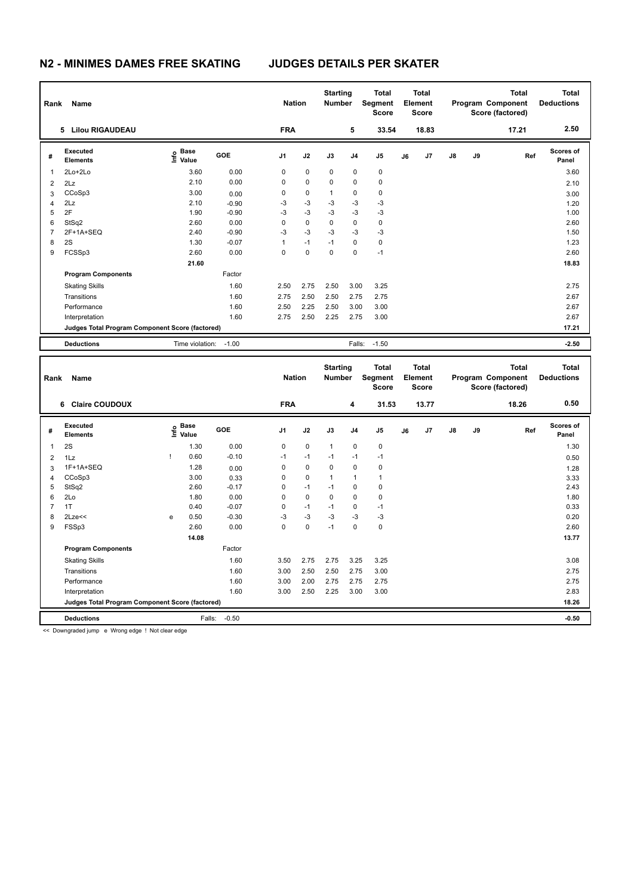| Rank           | Name                                            |                       |            | <b>Nation</b>  |      | <b>Starting</b><br><b>Number</b> |                | <b>Total</b><br>Segment<br><b>Score</b> |    | <b>Total</b><br>Element<br><b>Score</b> |               |    | <b>Total</b><br><b>Program Component</b><br>Score (factored) | <b>Total</b><br><b>Deductions</b> |
|----------------|-------------------------------------------------|-----------------------|------------|----------------|------|----------------------------------|----------------|-----------------------------------------|----|-----------------------------------------|---------------|----|--------------------------------------------------------------|-----------------------------------|
|                | <b>Lilou RIGAUDEAU</b><br>5.                    |                       |            | <b>FRA</b>     |      |                                  | 5              | 33.54                                   |    | 18.83                                   |               |    | 17.21                                                        | 2.50                              |
| #              | Executed<br><b>Elements</b>                     | e Base<br>⊆ Value     | <b>GOE</b> | J <sub>1</sub> | J2   | J3                               | J <sub>4</sub> | J <sub>5</sub>                          | J6 | J7                                      | $\mathsf{J}8$ | J9 | Ref                                                          | <b>Scores of</b><br>Panel         |
| 1              | 2Lo+2Lo                                         | 3.60                  | 0.00       | 0              | 0    | 0                                | 0              | 0                                       |    |                                         |               |    |                                                              | 3.60                              |
| 2              | 2Lz                                             | 2.10                  | 0.00       | 0              | 0    | 0                                | $\mathbf 0$    | $\mathbf 0$                             |    |                                         |               |    |                                                              | 2.10                              |
| 3              | CCoSp3                                          | 3.00                  | 0.00       | 0              | 0    | 1                                | 0              | 0                                       |    |                                         |               |    |                                                              | 3.00                              |
| 4              | 2Lz                                             | 2.10                  | $-0.90$    | -3             | $-3$ | $-3$                             | $-3$           | $-3$                                    |    |                                         |               |    |                                                              | 1.20                              |
| 5              | 2F                                              | 1.90                  | $-0.90$    | $-3$           | $-3$ | -3                               | $-3$           | $-3$                                    |    |                                         |               |    |                                                              | 1.00                              |
| 6              | StSq2                                           | 2.60                  | 0.00       | 0              | 0    | 0                                | 0              | $\pmb{0}$                               |    |                                         |               |    |                                                              | 2.60                              |
| $\overline{7}$ | 2F+1A+SEQ                                       | 2.40                  | $-0.90$    | $-3$           | $-3$ | $-3$                             | $-3$           | $-3$                                    |    |                                         |               |    |                                                              | 1.50                              |
| 8              | 2S                                              | 1.30                  | $-0.07$    | 1              | $-1$ | $-1$                             | $\mathbf 0$    | $\pmb{0}$                               |    |                                         |               |    |                                                              | 1.23                              |
| 9              | FCSSp3                                          | 2.60                  | 0.00       | $\Omega$       | 0    | $\Omega$                         | 0              | $-1$                                    |    |                                         |               |    |                                                              | 2.60                              |
|                |                                                 | 21.60                 |            |                |      |                                  |                |                                         |    |                                         |               |    |                                                              | 18.83                             |
|                | <b>Program Components</b>                       |                       | Factor     |                |      |                                  |                |                                         |    |                                         |               |    |                                                              |                                   |
|                | <b>Skating Skills</b>                           |                       | 1.60       | 2.50           | 2.75 | 2.50                             | 3.00           | 3.25                                    |    |                                         |               |    |                                                              | 2.75                              |
|                | Transitions                                     |                       | 1.60       | 2.75           | 2.50 | 2.50                             | 2.75           | 2.75                                    |    |                                         |               |    |                                                              | 2.67                              |
|                | Performance                                     |                       | 1.60       | 2.50           | 2.25 | 2.50                             | 3.00           | 3.00                                    |    |                                         |               |    |                                                              | 2.67                              |
|                | Interpretation                                  |                       | 1.60       | 2.75           | 2.50 | 2.25                             | 2.75           | 3.00                                    |    |                                         |               |    |                                                              | 2.67                              |
|                | Judges Total Program Component Score (factored) |                       |            |                |      |                                  |                |                                         |    |                                         |               |    |                                                              | 17.21                             |
|                | <b>Deductions</b>                               | Time violation: -1.00 |            |                |      |                                  | Falls:         | $-1.50$                                 |    |                                         |               |    |                                                              | $-2.50$                           |
|                |                                                 |                       |            |                |      |                                  |                |                                         |    |                                         |               |    |                                                              |                                   |
| Rank           | Name                                            |                       |            | <b>Nation</b>  |      | <b>Starting</b><br><b>Number</b> |                | <b>Total</b><br>Segment<br><b>Score</b> |    | <b>Total</b><br>Element<br><b>Score</b> |               |    | <b>Total</b><br>Program Component<br>Score (factored)        | <b>Total</b><br><b>Deductions</b> |
|                | <b>Claire COUDOUX</b><br>6                      |                       |            | <b>FRA</b>     |      |                                  | 4              | 31.53                                   |    | 13.77                                   |               |    | 18.26                                                        | 0.50                              |

|                                                 | 6<br><b>Claire COUDOUX</b>         |   |                                             |                   | FRA            |             |                | 4              | 31.53          |    | 13.11          |               |    | 18.26 | บ.อบ               |
|-------------------------------------------------|------------------------------------|---|---------------------------------------------|-------------------|----------------|-------------|----------------|----------------|----------------|----|----------------|---------------|----|-------|--------------------|
| #                                               | <b>Executed</b><br><b>Elements</b> |   | <b>Base</b><br>e <sup>Base</sup><br>⊆ Value | <b>GOE</b>        | J <sub>1</sub> | J2          | J3             | J <sub>4</sub> | J <sub>5</sub> | J6 | J <sub>7</sub> | $\mathsf{J}8$ | J9 | Ref   | Scores of<br>Panel |
|                                                 | 2S                                 |   | 1.30                                        | 0.00              | 0              | 0           | $\overline{1}$ | 0              | $\mathbf 0$    |    |                |               |    |       | 1.30               |
| $\overline{2}$                                  | 1Lz                                |   | 0.60                                        | $-0.10$           | $-1$           | $-1$        | $-1$           | $-1$           | $-1$           |    |                |               |    |       | 0.50               |
| 3                                               | 1F+1A+SEQ                          |   | 1.28                                        | 0.00              | 0              | 0           | 0              | 0              | 0              |    |                |               |    |       | 1.28               |
| 4                                               | CCoSp3                             |   | 3.00                                        | 0.33              | 0              | $\mathbf 0$ |                |                | 1              |    |                |               |    |       | 3.33               |
| 5                                               | StSq2                              |   | 2.60                                        | $-0.17$           | 0              | $-1$        | $-1$           | 0              | 0              |    |                |               |    |       | 2.43               |
| 6                                               | 2Lo                                |   | 1.80                                        | 0.00              | 0              | 0           | 0              | 0              | 0              |    |                |               |    |       | 1.80               |
|                                                 | 1T                                 |   | 0.40                                        | $-0.07$           | $\mathbf 0$    | $-1$        | $-1$           | 0              | $-1$           |    |                |               |    |       | 0.33               |
| 8                                               | $2$ Lze $<<$                       | e | 0.50                                        | $-0.30$           | $-3$           | $-3$        | -3             | -3             | -3             |    |                |               |    |       | 0.20               |
| 9                                               | FSSp3                              |   | 2.60                                        | 0.00              | 0              | 0           | $-1$           | 0              | 0              |    |                |               |    |       | 2.60               |
|                                                 |                                    |   | 14.08                                       |                   |                |             |                |                |                |    |                |               |    |       | 13.77              |
|                                                 | <b>Program Components</b>          |   |                                             | Factor            |                |             |                |                |                |    |                |               |    |       |                    |
|                                                 | <b>Skating Skills</b>              |   |                                             | 1.60              | 3.50           | 2.75        | 2.75           | 3.25           | 3.25           |    |                |               |    |       | 3.08               |
|                                                 | Transitions                        |   |                                             | 1.60              | 3.00           | 2.50        | 2.50           | 2.75           | 3.00           |    |                |               |    |       | 2.75               |
|                                                 | Performance                        |   |                                             | 1.60              | 3.00           | 2.00        | 2.75           | 2.75           | 2.75           |    |                |               |    |       | 2.75               |
|                                                 | Interpretation                     |   |                                             | 1.60              | 3.00           | 2.50        | 2.25           | 3.00           | 3.00           |    |                |               |    |       | 2.83               |
| Judges Total Program Component Score (factored) |                                    |   |                                             |                   |                |             |                |                |                |    |                |               |    | 18.26 |                    |
|                                                 | <b>Deductions</b>                  |   |                                             | Falls:<br>$-0.50$ |                |             |                |                |                |    |                |               |    |       | $-0.50$            |

<< Downgraded jump e Wrong edge ! Not clear edge